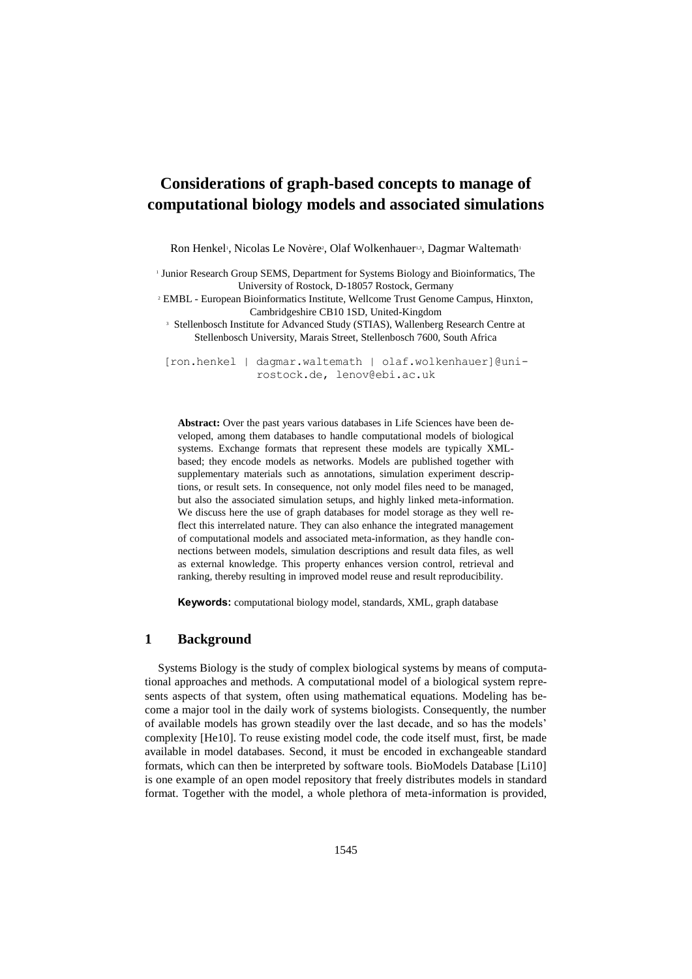# **Considerations of graph-based concepts to manage of computational biology models and associated simulations**

Ron Henkel<sup>,</sup>, Nicolas Le Novère<sup>2</sup>, Olaf Wolkenhauer<sup>13</sup>, Dagmar Waltemath<sup>1</sup>

1 Junior Research Group SEMS, Department for Systems Biology and Bioinformatics, The University of Rostock, D-18057 Rostock, Germany 2 EMBL - European Bioinformatics Institute, Wellcome Trust Genome Campus, Hinxton, Cambridgeshire CB10 1SD, United-Kingdom <sup>3</sup> Stellenbosch Institute for Advanced Study (STIAS), Wallenberg Research Centre at Stellenbosch University, Marais Street, Stellenbosch 7600, South Africa

[ron.henkel | dagmar.waltemath | olaf.wolkenhauer]@unirostock.de, lenov@ebi.ac.uk

**Abstract:** Over the past years various databases in Life Sciences have been developed, among them databases to handle computational models of biological systems. Exchange formats that represent these models are typically XMLbased; they encode models as networks. Models are published together with supplementary materials such as annotations, simulation experiment descriptions, or result sets. In consequence, not only model files need to be managed, but also the associated simulation setups, and highly linked meta-information. We discuss here the use of graph databases for model storage as they well reflect this interrelated nature. They can also enhance the integrated management of computational models and associated meta-information, as they handle connections between models, simulation descriptions and result data files, as well as external knowledge. This property enhances version control, retrieval and ranking, thereby resulting in improved model reuse and result reproducibility.

**Keywords:** computational biology model, standards, XML, graph database

## **1 Background**

Systems Biology is the study of complex biological systems by means of computational approaches and methods. A computational model of a biological system represents aspects of that system, often using mathematical equations. Modeling has become a major tool in the daily work of systems biologists. Consequently, the number of available models has grown steadily over the last decade, and so has the models' complexity [He10]. To reuse existing model code, the code itself must, first, be made available in model databases. Second, it must be encoded in exchangeable standard formats, which can then be interpreted by software tools. BioModels Database [Li10] is one example of an open model repository that freely distributes models in standard format. Together with the model, a whole plethora of meta-information is provided,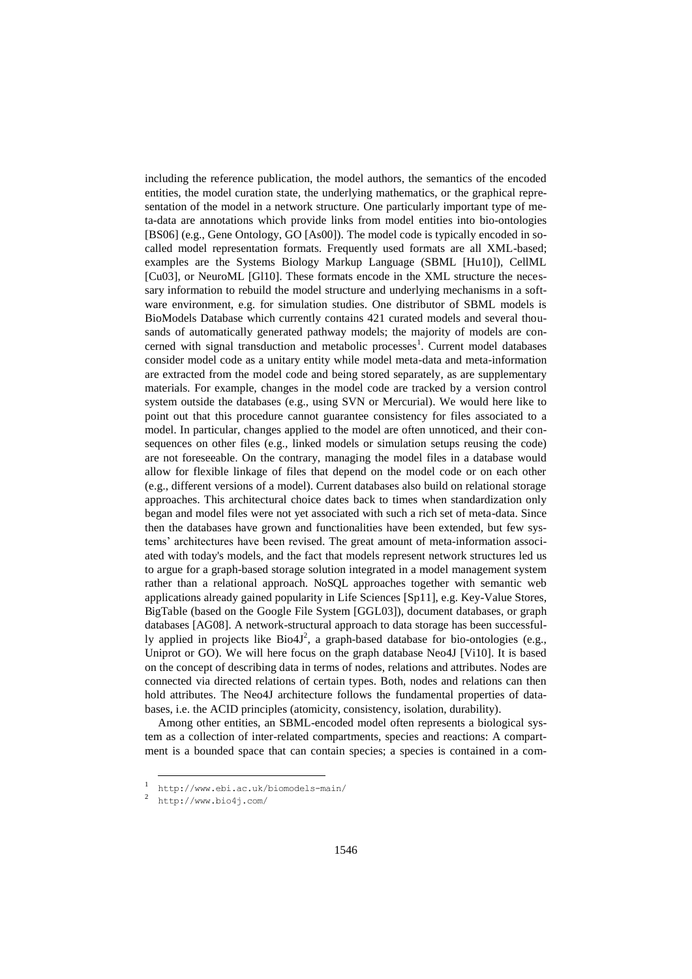including the reference publication, the model authors, the semantics of the encoded entities, the model curation state, the underlying mathematics, or the graphical representation of the model in a network structure. One particularly important type of meta-data are annotations which provide links from model entities into bio-ontologies [BS06] (e.g., Gene Ontology, GO [As00]). The model code is typically encoded in socalled model representation formats. Frequently used formats are all XML-based; examples are the Systems Biology Markup Language (SBML [Hu10]), CellML [Cu03], or NeuroML [Gl10]. These formats encode in the XML structure the necessary information to rebuild the model structure and underlying mechanisms in a software environment, e.g. for simulation studies. One distributor of SBML models is BioModels Database which currently contains 421 curated models and several thousands of automatically generated pathway models; the majority of models are concerned with signal transduction and metabolic processes<sup>1</sup>. Current model databases consider model code as a unitary entity while model meta-data and meta-information are extracted from the model code and being stored separately, as are supplementary materials. For example, changes in the model code are tracked by a version control system outside the databases (e.g., using SVN or Mercurial). We would here like to point out that this procedure cannot guarantee consistency for files associated to a model. In particular, changes applied to the model are often unnoticed, and their consequences on other files (e.g., linked models or simulation setups reusing the code) are not foreseeable. On the contrary, managing the model files in a database would allow for flexible linkage of files that depend on the model code or on each other (e.g., different versions of a model). Current databases also build on relational storage approaches. This architectural choice dates back to times when standardization only began and model files were not yet associated with such a rich set of meta-data. Since then the databases have grown and functionalities have been extended, but few systems' architectures have been revised. The great amount of meta-information associated with today's models, and the fact that models represent network structures led us to argue for a graph-based storage solution integrated in a model management system rather than a relational approach. NoSQL approaches together with semantic web applications already gained popularity in Life Sciences [Sp11], e.g. Key-Value Stores, BigTable (based on the Google File System [GGL03]), document databases, or graph databases [AG08]. A network-structural approach to data storage has been successfully applied in projects like  $Bio4J^2$ , a graph-based database for bio-ontologies (e.g., Uniprot or GO). We will here focus on the graph database Neo4J [Vi10]. It is based on the concept of describing data in terms of nodes, relations and attributes. Nodes are connected via directed relations of certain types. Both, nodes and relations can then hold attributes. The Neo4J architecture follows the fundamental properties of databases, i.e. the ACID principles (atomicity, consistency, isolation, durability).

Among other entities, an SBML-encoded model often represents a biological system as a collection of inter-related compartments, species and reactions: A compartment is a bounded space that can contain species; a species is contained in a com-

-

<sup>1</sup> http://www.ebi.ac.uk/biomodels-main/

<sup>2</sup> http://www.bio4j.com/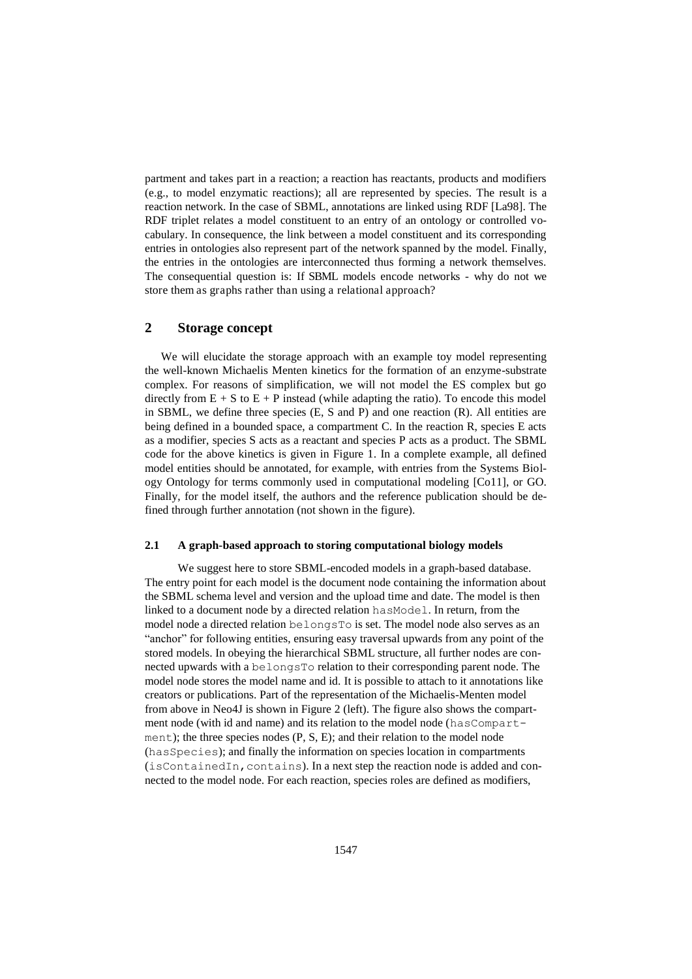partment and takes part in a reaction; a reaction has reactants, products and modifiers (e.g., to model enzymatic reactions); all are represented by species. The result is a reaction network. In the case of SBML, annotations are linked using RDF [La98]. The RDF triplet relates a model constituent to an entry of an ontology or controlled vocabulary. In consequence, the link between a model constituent and its corresponding entries in ontologies also represent part of the network spanned by the model. Finally, the entries in the ontologies are interconnected thus forming a network themselves. The consequential question is: If SBML models encode networks - why do not we store them as graphs rather than using a relational approach?

### **2 Storage concept**

 We will elucidate the storage approach with an example toy model representing the well-known Michaelis Menten kinetics for the formation of an enzyme-substrate complex. For reasons of simplification, we will not model the ES complex but go directly from  $E + S$  to  $E + P$  instead (while adapting the ratio). To encode this model in SBML, we define three species  $(E, S \text{ and } P)$  and one reaction  $(R)$ . All entities are being defined in a bounded space, a compartment C. In the reaction R, species E acts as a modifier, species S acts as a reactant and species P acts as a product. The SBML code for the above kinetics is given in Figure 1. In a complete example, all defined model entities should be annotated, for example, with entries from the Systems Biology Ontology for terms commonly used in computational modeling [Co11], or GO. Finally, for the model itself, the authors and the reference publication should be defined through further annotation (not shown in the figure).

#### **2.1 A graph-based approach to storing computational biology models**

We suggest here to store SBML-encoded models in a graph-based database. The entry point for each model is the document node containing the information about the SBML schema level and version and the upload time and date. The model is then linked to a document node by a directed relation hasModel. In return, from the model node a directed relation belongsTo is set. The model node also serves as an "anchor" for following entities, ensuring easy traversal upwards from any point of the stored models. In obeying the hierarchical SBML structure, all further nodes are connected upwards with a belongsTo relation to their corresponding parent node. The model node stores the model name and id. It is possible to attach to it annotations like creators or publications. Part of the representation of the Michaelis-Menten model from above in Neo4J is shown in Figure 2 (left). The figure also shows the compartment node (with id and name) and its relation to the model node (hasCompartment); the three species nodes (P, S, E); and their relation to the model node (hasSpecies); and finally the information on species location in compartments  $(i$ sContainedIn, contains). In a next step the reaction node is added and connected to the model node. For each reaction, species roles are defined as modifiers,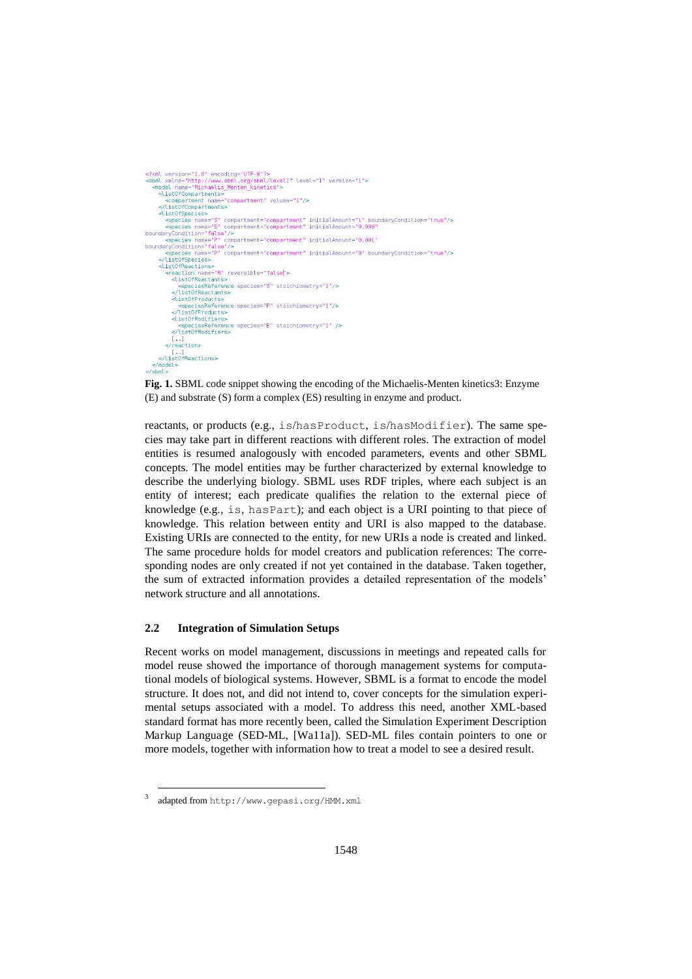```
<?xml version="1.0" encoding="UTF-8"?><br><sbml xmlns="http://www.sbml.org/sbml/level1" level="1" version="1">
  <model name="Michaelis_Menten_kinetics">
     <listOfCompartments>
        <compartment name="compartment" volume="1"/>
      :/list0fCompartments>
     distOfSneries</recordspected>>></recordspected>>></represent="compartment" initialAmount="1" boundaryCondition="true"</represent="true"</represent="true"/></represent="true"/></represent="true"/></represent="true"/></represent="true"/t
       species name="P" compartment="compartment" initialAmount="0.001"
boundaryCondition="false"/>
         .<br>species name="P" compartment="compartment" initialAmount="0" boundaryCondition="true"/>
      </list0fSpecies>
     <listOfReactions>
       <reaction name="R" reversible="false">
          <listOfReactants>
             <speciesReference species="S" stoichiometry="1"/>
          </listOfReactants>
          <list0fProduc
            <speciesReference species="P" stoichiometry="1"/>
          </list0fPro
         <list0fModifiers>
             <species
                         ference species="E" stoichiometry="1" />
          </list0fModifiers>
       [...]<br></reaction>
    [...]<br></listOfReactions>
       del>
\le/sbml>
```
**Fig. 1.** SBML code snippet showing the encoding of the Michaelis-Menten kinetics3: Enzyme (E) and substrate (S) form a complex (ES) resulting in enzyme and product.

reactants, or products (e.g., is/hasProduct, is/hasModifier). The same species may take part in different reactions with different roles. The extraction of model entities is resumed analogously with encoded parameters, events and other SBML concepts. The model entities may be further characterized by external knowledge to describe the underlying biology. SBML uses RDF triples, where each subject is an entity of interest; each predicate qualifies the relation to the external piece of knowledge (e.g., is, hasPart); and each object is a URI pointing to that piece of knowledge. This relation between entity and URI is also mapped to the database. Existing URIs are connected to the entity, for new URIs a node is created and linked. The same procedure holds for model creators and publication references: The corresponding nodes are only created if not yet contained in the database. Taken together, the sum of extracted information provides a detailed representation of the models' network structure and all annotations.

## **2.2 Integration of Simulation Setups**

Recent works on model management, discussions in meetings and repeated calls for model reuse showed the importance of thorough management systems for computational models of biological systems. However, SBML is a format to encode the model structure. It does not, and did not intend to, cover concepts for the simulation experimental setups associated with a model. To address this need, another XML-based standard format has more recently been, called the Simulation Experiment Description Markup Language (SED-ML, [Wa11a]). SED-ML files contain pointers to one or more models, together with information how to treat a model to see a desired result.

-

<sup>3</sup> adapted from http://www.gepasi.org/HMM.xml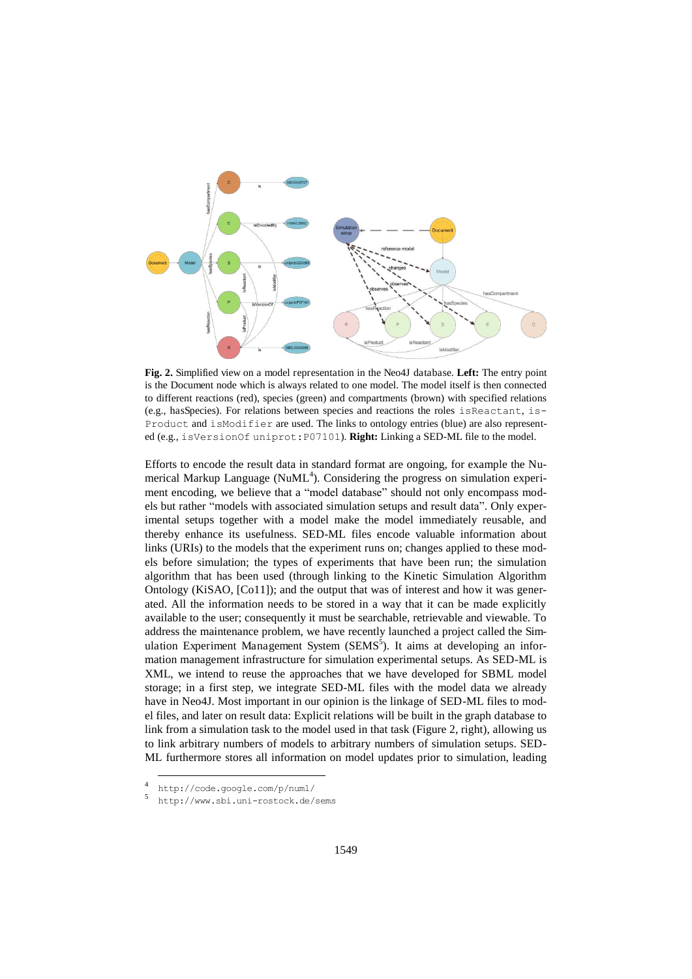

**Fig. 2.** Simplified view on a model representation in the Neo4J database. **Left:** The entry point is the Document node which is always related to one model. The model itself is then connected to different reactions (red), species (green) and compartments (brown) with specified relations (e.g., hasSpecies). For relations between species and reactions the roles isReactant, is-Product and isModifier are used. The links to ontology entries (blue) are also represented (e.g., isVersionOf uniprot:P07101). **Right:** Linking a SED-ML file to the model.

Efforts to encode the result data in standard format are ongoing, for example the Numerical Markup Language (NuML<sup>4</sup>). Considering the progress on simulation experiment encoding, we believe that a "model database" should not only encompass models but rather "models with associated simulation setups and result data". Only experimental setups together with a model make the model immediately reusable, and thereby enhance its usefulness. SED-ML files encode valuable information about links (URIs) to the models that the experiment runs on; changes applied to these models before simulation; the types of experiments that have been run; the simulation algorithm that has been used (through linking to the Kinetic Simulation Algorithm Ontology (KiSAO, [Co11]); and the output that was of interest and how it was generated. All the information needs to be stored in a way that it can be made explicitly available to the user; consequently it must be searchable, retrievable and viewable. To address the maintenance problem, we have recently launched a project called the Simulation Experiment Management System (SEMS<sup>5</sup>). It aims at developing an information management infrastructure for simulation experimental setups. As SED-ML is XML, we intend to reuse the approaches that we have developed for SBML model storage; in a first step, we integrate SED-ML files with the model data we already have in Neo4J. Most important in our opinion is the linkage of SED-ML files to model files, and later on result data: Explicit relations will be built in the graph database to link from a simulation task to the model used in that task (Figure 2, right), allowing us to link arbitrary numbers of models to arbitrary numbers of simulation setups. SED-ML furthermore stores all information on model updates prior to simulation, leading

-

<sup>4</sup> http://code.google.com/p/numl/

<sup>5</sup> http://www.sbi.uni-rostock.de/sems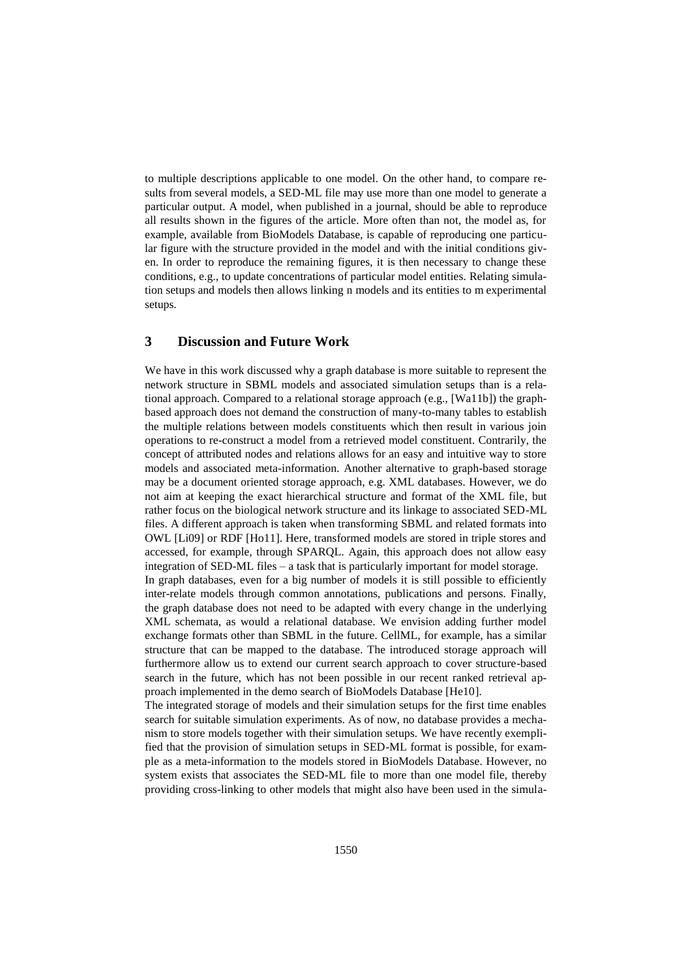to multiple descriptions applicable to one model. On the other hand, to compare results from several models, a SED-ML file may use more than one model to generate a particular output. A model, when published in a journal, should be able to reproduce all results shown in the figures of the article. More often than not, the model as, for example, available from BioModels Database, is capable of reproducing one particular figure with the structure provided in the model and with the initial conditions given. In order to reproduce the remaining figures, it is then necessary to change these conditions, e.g., to update concentrations of particular model entities. Relating simulation setups and models then allows linking n models and its entities to m experimental setups.

## **3 Discussion and Future Work**

We have in this work discussed why a graph database is more suitable to represent the network structure in SBML models and associated simulation setups than is a relational approach. Compared to a relational storage approach (e.g., [Wa11b]) the graphbased approach does not demand the construction of many-to-many tables to establish the multiple relations between models constituents which then result in various join operations to re-construct a model from a retrieved model constituent. Contrarily, the concept of attributed nodes and relations allows for an easy and intuitive way to store models and associated meta-information. Another alternative to graph-based storage may be a document oriented storage approach, e.g. XML databases. However, we do not aim at keeping the exact hierarchical structure and format of the XML file, but rather focus on the biological network structure and its linkage to associated SED-ML files. A different approach is taken when transforming SBML and related formats into OWL [Li09] or RDF [Ho11]. Here, transformed models are stored in triple stores and accessed, for example, through SPARQL. Again, this approach does not allow easy integration of SED-ML files – a task that is particularly important for model storage.

In graph databases, even for a big number of models it is still possible to efficiently inter-relate models through common annotations, publications and persons. Finally, the graph database does not need to be adapted with every change in the underlying XML schemata, as would a relational database. We envision adding further model exchange formats other than SBML in the future. CellML, for example, has a similar structure that can be mapped to the database. The introduced storage approach will furthermore allow us to extend our current search approach to cover structure-based search in the future, which has not been possible in our recent ranked retrieval approach implemented in the demo search of BioModels Database [He10].

The integrated storage of models and their simulation setups for the first time enables search for suitable simulation experiments. As of now, no database provides a mechanism to store models together with their simulation setups. We have recently exemplified that the provision of simulation setups in SED-ML format is possible, for example as a meta-information to the models stored in BioModels Database. However, no system exists that associates the SED-ML file to more than one model file, thereby providing cross-linking to other models that might also have been used in the simula